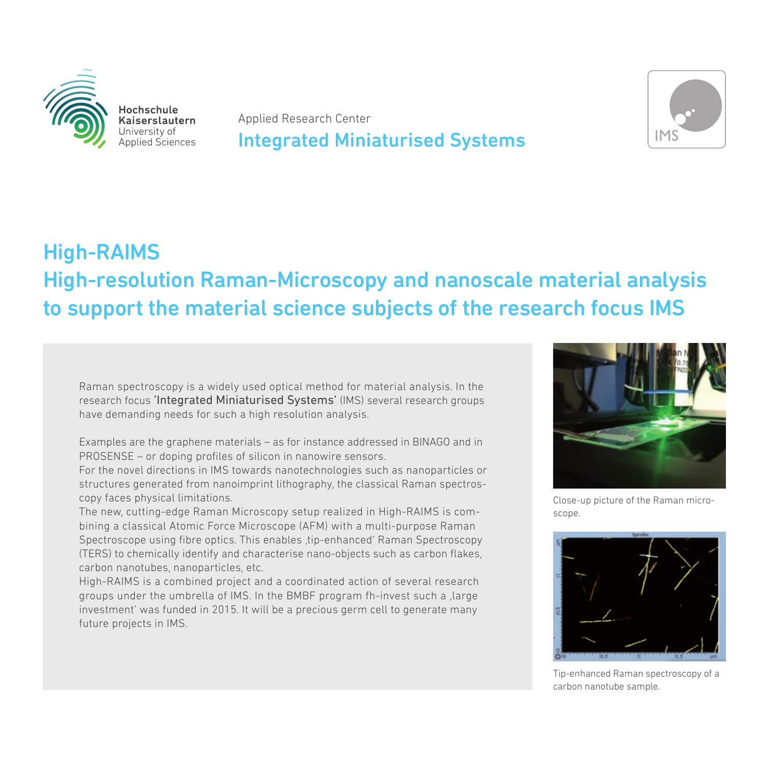

Hochschule Kaiserslautern University of Applied Sciences

Applied Research Center

### Integrated Miniaturised Systems



## High-RAIMS High-resolution Raman-Microscopy and nanoscale material analysis to support the material science subjects of the research focus IMS

Raman spectroscopy is a widely used optical method for material analysis. In the research focus 'Integrated Miniaturised Systems' (IMS) several research groups have demanding needs for such a high resolution analysis.

Examples are the graphene materials – as for instance addressed in BINAGO and in PROSENSE – or doping profiles of silicon in nanowire sensors.

For the novel directions in IMS towards nanotechnologies such as nanoparticles or structures generated from nanoimprint lithography, the classical Raman spectroscopy faces physical limitations.

The new, cutting-edge Raman Microscopy setup realized in High-RAIMS is combining a classical Atomic Force Microscope (AFM) with a multi-purpose Raman Spectroscope using fibre optics. This enables ,tip-enhanced' Raman Spectroscopy (TERS) to chemically identify and characterise nano-objects such as carbon flakes, carbon nanotubes, nanoparticles, etc.

High-RAIMS is a combined project and a coordinated action of several research groups under the umbrella of IMS. In the BMBF program fh-invest such a , large investment' was funded in 2015. It will be a precious germ cell to generate many future projects in IMS.



Close-up picture of the Raman microscope.



Tip-enhanced Raman spectroscopy of a carbon nanotube sample.